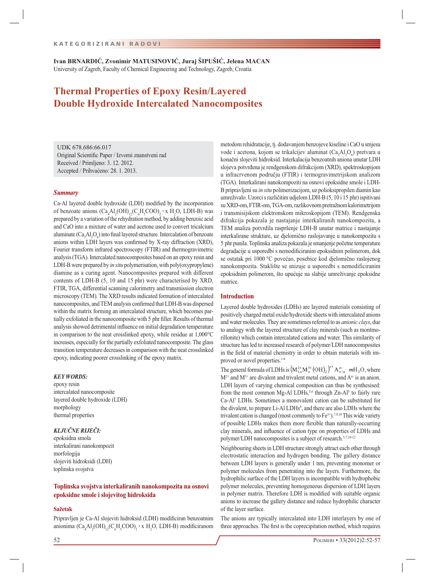**Ivan BRNARDIĆ, Zvonimir MATUSINOVIĆ, Juraj ŠIPUŠIĆ, Jelena MACAN** University of Zagreb, Faculty of Chemical Engineering and Technology, Zagreb, Croatia

# **Thermal Properties of Epoxy Resin/Layered Double Hydroxide Intercalated Nanocomposites**

UDK 678.686:66.017 Original Scientific Paper / Izvorni znanstveni rad Received / Primljeno: 3. 12. 2012. Accepted / Prihvaćeno: 28. 1. 2013.

### *Summary*

Ca-Al layered double hydroxide (LDH) modified by the incorporation of benzoate anions  $(Ca_4Al_2(OH)_{12}(C_6H_5COO)_2 \cdot x H_2O$ , LDH-B) was prepared by a variation of the rehydration method, by adding benzoic acid and CaO into a mixture of water and acetone used to convert tricalcium aluminate  $(Ca_{3}Al_{2}O_{6})$  into final layered structure. Intercalation of benzoate anions within LDH layers was confirmed by X-ray diffraction (XRD), Fourier transform infrared spectroscopy (FTIR) and thermogravimetric analysis (TGA). Intercalated nanocomposites based on an epoxy resin and LDH-B were prepared by *in situ* polymerisation, with poly(oxypropylene) diamine as a curing agent. Nanocomposites prepared with different contents of LDH-B (5, 10 and 15 phr) were characterised by XRD, FTIR, TGA, differential scanning calorimetry and transmission electron microscopy (TEM). The XRD results indicated formation of intercalated nanocomposites, and TEM analysis confirmed that LDH-B was dispersed within the matrix forming an intercalated structure, which becomes partially exfoliated in the nanocomposite with 5 phr filler. Results of thermal analysis showed detrimental influence on initial degradation temperature in comparison to the neat crosslinked epoxy, while residue at 1,000°C increases, especially for the partially exfoliated nanocomposite. The glass transition temperature decreases in comparison with the neat crosslinked epoxy, indicating poorer crosslinking of the epoxy matrix.

## *KEY WORDS:*

epoxy resin intercalated nanocomposite layered double hydroxide (LDH) morphology thermal properties

# *KLJUČNE RIJEČI:*

epoksidna smola interkalirani nanokompozit morfologija slojeviti hidroksidi (LDH) toplinska svojstva

# **Toplinska svojstva interkaliranih nanokompozita na osnovi epoksidne smole i slojevitog hidroksida**

### **Sažetak**

Pripravljen je Ca-Al slojeviti hidroksid (LDH) modificiran benzoatnim anionima  $(Ca_4Al_2(OH)_{12}(C_6H_5COO)_2 \cdot x H_2O$ , LDH-B) modificiranom

metodom rehidratacije, tj. dodavanjem benzojeve kiseline i CaO u smjesu vode i acetona, kojom se trikalcijev aluminat  $(Ca<sub>3</sub>Al<sub>2</sub>O<sub>6</sub>)$  pretvara u konačni slojeviti hidroksid. Interkalacija benzoatnih aniona unutar LDH slojeva potvrđena je rendgenskom difrakcijom (XRD), spektroskopijom u infracrvenom području (FTIR) i termogravimetrijskom analizom (TGA). Interkalirani nanokompoziti na osnovi epoksidne smole i LDH-B pripravljeni su *in situ* polimerizacijom, uz polioksipropilen diamin kao umreživalo. Uzorci s različitim udjelom LDH-B (5, 10 i 15 phr) ispitivani su XRD-om, FTIR-om, TGA-om, razlikovnom pretražnom kalorimetrijom i transmisijskom elektronskom mikroskopijom (TEM). Rendgenska difrakcija pokazala je nastajanje interkaliranih nanokompozita, a TEM analiza potvrdila raspršenje LDH-B unutar matrice i nastajanje interkalirane strukture, uz djelomično raslojavanje u nanokompozitu s 5 phr punila. Toplinska analiza pokazala je smanjenje početne temperature degradacije u usporedbi s nemodificiranim epoksidnim polimerom, dok se ostatak pri 1000 °C povećao, posebice kod djelomično raslojenog nanokompozita. Staklište se snizuje u usporedbi s nemodificiranim epoksidnim polimerom, što upućuje na slabije umreživanje epoksidne matrice.

## **Introduction**

Layered double hydroxides (LDHs) are layered materials consisting of positively charged metal oxide/hydroxide sheets with intercalated anions and water molecules. They are sometimes referred to as *anionic clays*, due to analogy with the layered structure of clay minerals (such as montmorillonite) which contain intercalated cations and water. This similarity of structure has led to increased research of polymer/LDH nanocomposites in the field of material chemistry in order to obtain materials with improved or novel properties.<sup>1-4</sup>

The general formula of LDHs is  $(M_{1-x}^{2+}M_x^{3+}(\text{OH})_2)^{x+}A_{x/n}^{n} \cdot mH_2\text{O}$ , where  $M^{2+}$  and  $M^{3+}$  are divalent and trivalent metal cations, and  $A^{n-}$  is an anion. LDH layers of varying chemical composition can thus be synthesised: from the most common Mg-Al LDHs,<sup>5,6</sup> through  $Zn-A1<sup>5</sup>$  to fairly rare Ca-Al7 LDHs. Sometimes a monovalent cation can be substituted for the divalent, to prepare Li-Al LDHs<sup>8</sup>, and there are also LDHs where the trivalent cation is changed (most commonly to  $Fe<sup>3+</sup>$ ).<sup>7,9,10</sup> This wide variety of possible LDHs makes them more flexible than naturally-occurring clay minerals, and influence of cation type on properties of LDHs and polymer/LDH nanocomposites is a subject of research.<sup>5,7,10-12</sup>

Neighbouring sheets in LDH structure strongly attract each other through electrostatic interaction and hydrogen bonding. The gallery distance between LDH layers is generally under 1 nm, preventing monomer or polymer molecules from penetrating into the layers. Furthermore, the hydrophilic surface of the LDH layers is incompatible with hydrophobic polymer molecules, preventing homogeneous dispersion of LDH layers in polymer matrix. Therefore LDH is modified with suitable organic anions to increase the gallery distance and reduce hydrophilic character of the layer surface.

The anions are typically intercalated into LDH interlayers by one of three approaches. The first is the coprecipitation method, which requires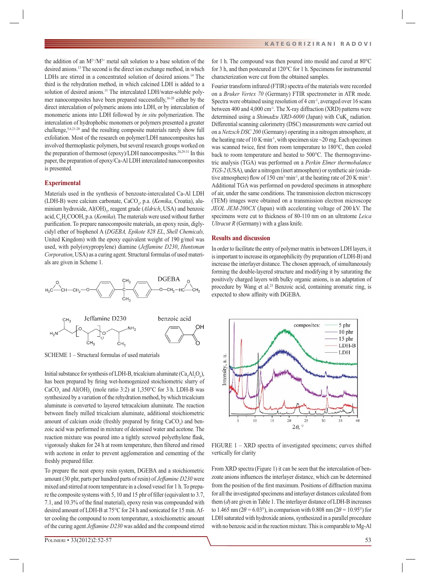the addition of an  $M^{2+}/M^{3+}$  metal salt solution to a base solution of the desired anions.13 The second is the direct ion exchange method, in which LDHs are stirred in a concentrated solution of desired anions.<sup>14</sup> The third is the rehydration method, in which calcined LDH is added to a solution of desired anions.<sup>15</sup> The intercalated LDH/water-soluble polymer nanocomposites have been prepared successfully,16-20 either by the direct intercalation of polymeric anions into LDH, or by intercalation of monomeric anions into LDH followed by *in situ* polymerization. The intercalation of hydrophobic monomers or polymers presented a greater challenge,5,6,21-28 and the resulting composite materials rarely show full exfoliation. Most of the research on polymer/LDH nanocomposites has involved thermoplastic polymers, but several research groups worked on the preparation of thermoset (epoxy)/LDH nanocomposites.<sup>24,29-31</sup> In this paper, the preparation of epoxy/Ca-Al LDH intercalated nanocomposites is presented.

# **Experimental**

Materials used in the synthesis of benzoate-intercalated Ca-Al LDH (LDH-B) were calcium carbonate, CaCO<sub>3</sub>, p.a. (*Kemika*, Croatia), aluminium hydroxide, Al(OH)<sub>3</sub>, reagent grade (*Aldrich*, USA) and benzoic acid, C<sub>6</sub>H<sub>5</sub>COOH, p.a. (*Kemika*). The materials were used without further purification. To prepare nanocomposite materials, an epoxy resin, diglycidyl ether of bisphenol A (*DGEBA, Epikote 828 EL*, *Shell Chemicals,*  United Kingdom) with the epoxy equivalent weight of 190 g/mol was used, with poly(oxypropylene) diamine (*Jeffamine D230*, *Huntsman Corporation*, USA) as a curing agent. Structural formulas of used materials are given in Scheme 1.



SCHEME 1 – Structural formulas of used materials

Initial substance for synthesis of LDH-B, tricalcium aluminate  $(Ca<sub>3</sub>Al<sub>2</sub>O<sub>6</sub>)$ , has been prepared by firing wet-homogenized stoichiometric slurry of CaCO<sub>3</sub> and Al(OH)<sub>3</sub> (mole ratio 3:2) at 1,350°C for 3 h. LDH-B was synthesized by a variation of the rehydration method, by which tricalcium aluminate is converted to layered tetracalcium aluminate. The reaction between finely milled tricalcium aluminate, additional stoichiometric amount of calcium oxide (freshly prepared by firing  $CaCO<sub>3</sub>$ ) and benzoic acid was performed in mixture of deionised water and acetone. The reaction mixture was poured into a tightly screwed polyethylene flask, vigorously shaken for 24 h at room temperature, then filtered and rinsed with acetone in order to prevent agglomeration and cementing of the freshly prepared filler.

To prepare the neat epoxy resin system, DGEBA and a stoichiometric amount (30 phr, parts per hundred parts of resin) of *Jeffamine D230* were mixed and stirred at room temperature in a closed vessel for 1 h. To prepare the composite systems with 5, 10 and 15 phr of filler (equivalent to 3.7, 7.1, and  $10.3\%$  of the final material), epoxy resin was compounded with desired amount of LDH-B at 75°C for 24 h and sonicated for 15 min. After cooling the compound to room temperature, a stoichiometric amount of the curing agent *Jeffamine D230* was added and the compound stirred for 1 h. The compound was then poured into mould and cured at 80°C for 3 h, and then postcured at 120°C for 1 h. Specimens for instrumental characterization were cut from the obtained samples.

Fourier transform infrared (FTIR) spectra of the materials were recorded on a *Bruker Vertex 70* (Germany) FTIR spectrometer in ATR mode. Spectra were obtained using resolution of  $4 \text{ cm}^{-1}$ , averaged over 16 scans between 400 and 4,000 cm-1. The X-ray diffraction (XRD) patterns were determined using a *Shimadzu XRD-6000* (Japan) with CuK<sub>a</sub> radiation. Differential scanning calorimetry (DSC) measurements were carried out on a *Netzsch DSC 200* (Germany) operating in a nitrogen atmosphere, at the heating rate of 10 K·min<sup>-1</sup>, with specimen size  $\sim$  20 mg. Each specimen was scanned twice, first from room temperature to 180°C, then cooled back to room temperature and heated to 500°C. The thermogravimetric analysis (TGA) was performed on a *Perkin Elmer thermobalance TGS-2* (USA), under a nitrogen (inert atmosphere) or synthetic air (oxidative atmosphere) flow of 150 cm<sup>3</sup>·min<sup>-1</sup>, at the heating rate of 20 K·min<sup>-1</sup>. Additional TGA was performed on powdered specimens in atmosphere of air, under the same conditions. The transmission electron microscopy (TEM) images were obtained on a transmission electron microscope *JEOL JEM-200CX* (Japan) with accelerating voltage of 200 kV. The specimens were cut to thickness of 80-110 nm on an ultratome *Leica Ultracut R* (Germany) with a glass knife.

## **Results and discussion**

In order to facilitate the entry of polymer matrix in between LDH layers, it is important to increase its organophilicity (by preparation of LDH-B) and increase the interlayer distance. The chosen approach, of simultaneously forming the double-layered structure and modifying it by saturating the positively charged layers with bulky organic anions, is an adaptation of procedure by Wang et al.<sup>25</sup> Benzoic acid, containing aromatic ring, is expected to show affinity with DGEBA.



FIGURE 1 – XRD spectra of investigated specimens; curves shifted vertically for clarity

From XRD spectra (Figure 1) it can be seen that the intercalation of benzoate anions influences the interlayer distance, which can be determined from the position of the first maximum. Positions of diffraction maxima for all the investigated specimens and interlayer distances calculated from them (*d*) are given in Table 1. The interlayer distance of LDH-B increases to 1.465 nm ( $2\theta = 6.03^{\circ}$ ), in comparison with 0.808 nm ( $2\theta = 10.95^{\circ}$ ) for LDH saturated with hydroxide anions, synthesized in a parallel procedure with no benzoic acid in the reaction mixture. This is comparable to Mg-Al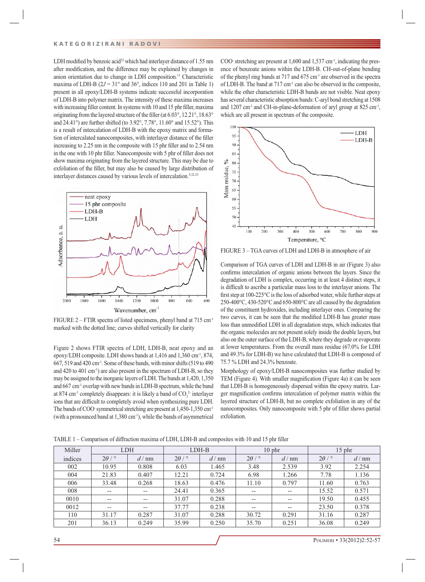LDH modified by benzoic acid<sup>32</sup> which had interlayer distance of 1.55 nm after modification, and the difference may be explained by changes in anion orientation due to change in LDH composition.11 Characteristic maxima of LDH-B  $(2J = 31^{\circ}$  and 36°, indices 110 and 201 in Table 1) present in all epoxy/LDH-B systems indicate successful incorporation of LDH-B into polymer matrix. The intensity of these maxima increases with increasing filler content. In systems with 10 and 15 phr filler, maxima originating from the layered structure of the filler (at  $6.03^{\circ}$ ,  $12.21^{\circ}$ ,  $18.63^{\circ}$ and 24.41°) are further shifted (to 3.92°, 7.78°, 11.60° and 15.52°). This is a result of intercalation of LDH-B with the epoxy matrix and formation of intercalated nanocomposites, with interlayer distance of the filler increasing to 2.25 nm in the composite with 15 phr filler and to 2.54 nm in the one with 10 phr filler. Nanocomposite with 5 phr of filler does not show maxima originating from the layered structure. This may be due to exfoliation of the filler, but may also be caused by large distribution of interlayer distances caused by various levels of intercalation.5,32,33



FIGURE 2 – FTIR spectra of listed specimens, phenyl band at 715 cm-1 marked with the dotted line; curves shifted vertically for clarity

Figure 2 shows FTIR spectra of LDH, LDH-B, neat epoxy and an epoxy/LDH composite. LDH shows bands at 1,416 and 1,360 cm<sup>-1</sup>, 874,  $667, 519$  and  $420 \text{ cm}^3$ . Some of these bands, with minor shifts (519 to 490) and 420 to 401 cm<sup>-1</sup>) are also present in the spectrum of LDH-B, so they may be assigned to the inorganic layers of LDH. The bands at 1,420, 1,350 and 667 cm-1 overlap with new bands in LDH-B spectrum, while the band at 874 cm<sup>-1</sup> completely disappears: it is likely a band of  $CO_3^2$  interlayer ions that are difficult to completely avoid when synthesizing pure LDH. The bands of COO- symmetrical stretching are present at 1,450-1,350 cm-1 (with a pronounced band at  $1,380 \text{ cm}^{-1}$ ), while the bands of asymmetrical

COO- stretching are present at 1,600 and 1,537 cm-1, indicating the presence of benzoate anions within the LDH-B. CH-out-of-plane bending of the phenyl ring bands at 717 and 675 cm<sup>-1</sup> are observed in the spectra of LDH-B. The band at 717 cm-1 can also be observed in the composite, while the other characteristic LDH-B bands are not visible. Neat epoxy has several characteristic absorption bands: C-aryl bond stretching at 1508 and  $1207 \text{ cm}^{-1}$  and CH-in-plane-deformation of aryl group at  $825 \text{ cm}^{-1}$ , which are all present in spectrum of the composite.



FIGURE 3 – TGA curves of LDH and LDH-B in atmosphere of air

Comparison of TGA curves of LDH and LDH-B in air (Figure 3) also confirms intercalation of organic anions between the layers. Since the degradation of LDH is complex, occurring in at least 4 distinct steps, it is difficult to ascribe a particular mass loss to the interlayer anions. The first step at 100-225 $\mathrm{^{\circ}C}$  is the loss of adsorbed water, while further steps at 250-400°C, 430-520°C and 650-800°C are all caused by the degradation of the constituent hydroxides, including interlayer ones. Comparing the two curves, it can be seen that the modified LDH-B has greater mass loss than unmodified LDH in all degradation steps, which indicates that the organic molecules are not present solely inside the double layers, but also on the outer surface of the LDH-B, where they degrade or evaporate at lower temperatures. From the overall mass residue (67.0% for LDH and 49.3% for LDH-B) we have calculated that LDH-B is composed of 75.7 % LDH and 24.3% benzoate.

Morphology of epoxy/LDH-B nanocomposites was further studied by TEM (Figure 4). With smaller magnification (Figure 4a) it can be seen that LDH-B is homogeneously dispersed within the epoxy matrix. Larger magnification confirms intercalation of polymer matrix within the layered structure of LDH-B, but no complete exfoliation in any of the nanocomposites. Only nanocomposite with 5 phr of filler shows partial exfoliation.

TABLE 1 – Comparison of diffraction maxima of LDH, LDH-B and composites with 10 and 15 phr filler

| Miller  | <b>LDH</b>          |                 | LDH-B               |                 |                                       | $10$ phr          | $15$ phr            |                 |
|---------|---------------------|-----------------|---------------------|-----------------|---------------------------------------|-------------------|---------------------|-----------------|
| indices | $2\theta$ / $\circ$ | $d / \text{nm}$ | $2\theta$ / $\circ$ | $d / \text{nm}$ | $2\theta$ / $\circ$                   | $d / \text{nm}$   | $2\theta$ / $\circ$ | $d / \text{nm}$ |
| 002     | 10.95               | 0.808           | 6.03                | 1.465           | 3.48                                  | 2.539             | 3.92                | 2.254           |
| 004     | 21.83               | 0.407           | 12.21               | 0.724           | 6.98                                  | 1.266             | 7.78                | 1.136           |
| 006     | 33.48               | 0.268           | 18.63               | 0.476           | 11.10                                 | 0.797             | 11.60               | 0.763           |
| 008     | $- -$               | $- -$           | 24.41               | 0.365           | $- -$                                 | --                | 15.52               | 0.571           |
| 0010    | $- -$               | $- -$           | 31.07               | 0.288           | $- -$                                 | $- -$             | 19.50               | 0.455           |
| 0012    | $\hspace{0.05cm}$   | $- -$           | 37.77               | 0.238           | $\hspace{0.05cm}$ – $\hspace{0.05cm}$ | $\hspace{0.05cm}$ | 23.50               | 0.378           |
| 110     | 31.17               | 0.287           | 31.07               | 0.288           | 30.72                                 | 0.291             | 31.16               | 0.287           |
| 201     | 36.13               | 0.249           | 35.99               | 0.250           | 35.70                                 | 0.251             | 36.08               | 0.249           |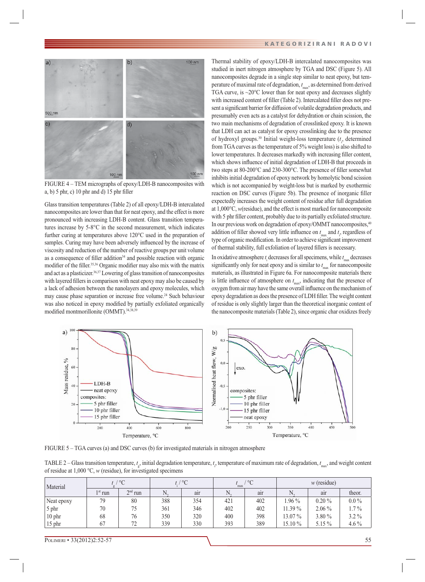

FIGURE 4 – TEM micrographs of epoxy/LDH-B nanocomposites with a, b)  $5$  phr, c)  $10$  phr and d)  $15$  phr filler

Glass transition temperatures (Table 2) of all epoxy/LDH-B intercalated nanocomposites are lower than that for neat epoxy, and the effect is more pronounced with increasing LDH-B content. Glass transition temperatures increase by 5-8°C in the second measurement, which indicates further curing at temperatures above 120°C used in the preparation of samples. Curing may have been adversely influenced by the increase of viscosity and reduction of the number of reactive groups per unit volume as a consequence of filler addition $34$  and possible reaction with organic modifier of the filler.<sup>35,36</sup> Organic modifier may also mix with the matrix and act as a plasticizer.<sup>36,37</sup> Lowering of glass transition of nanocomposites with layered fillers in comparison with neat epoxy may also be caused by a lack of adhesion between the nanolayers and epoxy molecules, which may cause phase separation or increase free volume.<sup>24</sup> Such behaviour was also noticed in epoxy modified by partially exfoliated organically modified montmorillonite (OMMT).<sup>34,38,39</sup>

Thermal stability of epoxy/LDH-B intercalated nanocomposites was studied in inert nitrogen atmosphere by TGA and DSC (Figure 5). All nanocomposites degrade in a single step similar to neat epoxy, but temperature of maximal rate of degradation, *t* max, as determined from derived TGA curve, is  $\sim$ 20 $\degree$ C lower than for neat epoxy and decreases slightly with increased content of filler (Table 2). Intercalated filler does not present a significant barrier for diffusion of volatile degradation products, and presumably even acts as a catalyst for dehydration or chain scission, the two main mechanisms of degradation of crosslinked epoxy. It is known that LDH can act as catalyst for epoxy crosslinking due to the presence of hydroxyl groups.<sup>30</sup> Initial weight-loss temperature  $(t<sub>i</sub>$ , determined from TGA curves as the temperature of 5% weight loss) is also shifted to lower temperatures. It decreases markedly with increasing filler content, which shows influence of initial degradation of LDH-B that proceeds in two steps at 80-200°C and 230-300°C. The presence of filler somewhat inhibits initial degradation of epoxy network by homolytic bond scission which is not accompanied by weight-loss but is marked by exothermic reaction on DSC curves (Figure 5b). The presence of inorganic filler expectedly increases the weight content of residue after full degradation at 1,000°C, *w*(residue), and the effect is most marked for nanocomposite with 5 phr filler content, probably due to its partially exfoliated structure. In our previous work on degradation of epoxy/OMMT nanocomposites,40 addition of filler showed very little influence on  $t_{\text{max}}$  and  $t_i$ , regardless of type of organic modification. In order to achieve significant improvement of thermal stability, full exfoliation of layered fillers is necessary.

In oxidative atmosphere  $t_i$  decreases for all specimens, while  $t_{\text{max}}$  decreases significantly only for neat epoxy and is similar to  $t_{\text{max}}$  for nanocomposite materials, as illustrated in Figure 6a. For nanocomposite materials there is little influence of atmosphere on  $t_{\text{max}}$ , indicating that the presence of oxygen from air may have the same overall influence on the mechanism of epoxy degradation as does the presence of LDH filler. The weight content of residue is only slightly larger than the theoretical inorganic content of the nanocomposite materials (Table 2), since organic char oxidizes freely



FIGURE 5 – TGA curves (a) and DSC curves (b) for investigated materials in nitrogen atmosphere

TABLE 2 – Glass transition temperature,  $t_g$ , initial degradation temperature,  $t_i$ , temperature of maximum rate of degradation,  $t_{\text{max}}$ , and weight content of residue at 1,000 °C, *w* (residue), for investigated specimens

| Material   | $/$ °C           |           | t. / $^{\circ}C$ |     | $^{\circ}$ C<br>max |     | $w$ (residue) |          |           |
|------------|------------------|-----------|------------------|-----|---------------------|-----|---------------|----------|-----------|
|            | $1^{\rm st}$ run | $2nd$ run |                  | air |                     | air |               | air      | theor.    |
| Neat epoxy | 79               | 80        | 388              | 354 | 421                 | 402 | .96 $\%$      | $0.20\%$ | $0.0\,\%$ |
| 5 phr      | 70               | 75        | 361              | 346 | 402                 | 402 | 11.39 %       | $2.06\%$ | $1.7\%$   |
| 10 phr     | 68               | 76        | 350              | 320 | 400                 | 398 | 13.07%        | $3.80\%$ | $3.2\%$   |
| $15$ phr   | 67               | 72        | 339              | 330 | 393                 | 389 | 15.10 %       | $5.15\%$ | 4.6 $%$   |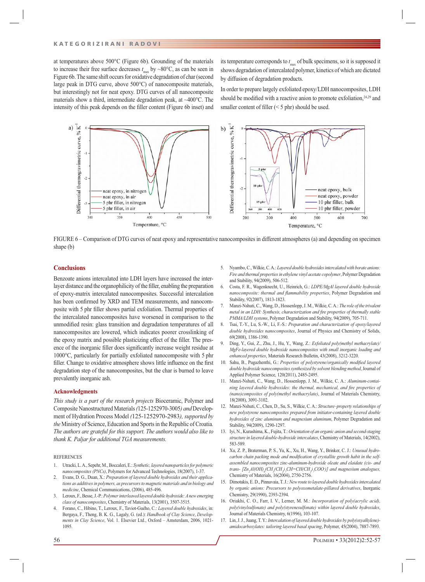at temperatures above 500°C (Figure 6b). Grounding of the materials to increase their free surface decreases  $t_{\text{max}}$  by ~80°C, as can be seen in Figure 6b. The same shift occurs for oxidative degradation of char (second large peak in DTG curve, above 500°C) of nanocomposite materials, but interestingly not for neat epoxy. DTG curves of all nanocomposite materials show a third, intermediate degradation peak, at ~400°C. The intensity of this peak depends on the filler content (Figure 6b inset) and

its temperature corresponds to  $t_{\text{max}}$  of bulk specimens, so it is supposed it shows degradation of intercalated polymer, kinetics of which are dictated by diffusion of degradation products.

In order to prepare largely exfoliated epoxy/LDH nanocomposites, LDH should be modified with a reactive anion to promote exfoliation, $24,29$  and smaller content of filler  $(< 5 \text{ phr})$  should be used.



FIGURE 6 – Comparison of DTG curves of neat epoxy and representative nanocomposites in different atmospheres (a) and depending on specimen shape (b)

### **Conclusions**

Benzoate anions intercalated into LDH layers have increased the interlayer distance and the organophilicity of the filler, enabling the preparation of epoxy-matrix intercalated nanocomposites. Successful intercalation has been confirmed by XRD and TEM measurements, and nanocomposite with 5 phr filler shows partial exfoliation. Thermal properties of the intercalated nanocomposites have worsened in comparison to the unmodified resin: glass transition and degradation temperatures of all nanocomposites are lowered, which indicates poorer crosslinking of the epoxy matrix and possible plasticizing effect of the filler. The presence of the inorganic filler does significantly increase weight residue at 1000°C, particularly for partially exfoliated nanocomposite with 5 phr filler. Change to oxidative atmosphere shows little influence on the first degradation step of the nanocomposites, but the char is burned to leave prevalently inorganic ash.

### **Acknowledgments**

*This study is a part of the research projects* Bioceramic, Polymer and Composite Nanostructured Materials *(*125-1252970-3005*) and* Development of Hydration Process Model *(*125-1252970-2983*), supported by the* Ministry of Science, Education and Sports in the Republic of Croatia*. The authors are grateful for this support. The authors would also like to thank K. Paljar for additional TGA measurements.*

#### **REFERENCES**

- 1. Utracki, L. A., Sepehr, M., Boccaleri, E.: *Synthetic, layered nanoparticles for polymeric nanocomposites (PNCs)*, Polymers for Advanced Technologies, 18(2007), 1-37.
- 2. Evans, D. G., Duan, X.: *Preparation of layered double hydroxides and their applications as additives in polymers, as precursors to magnetic materials and in biology and medicine*, Chemical Communications, (2006), 485-496.
- 3. Leroux, F., Besse, J.-P.: *Polymer interleaved layered double hydroxide: A new emerging class of nanocomposites*, Chemistry of Materials, 13(2001), 3507-3515.
- 4. Forano, C., Hibino, T., Leroux, F., Taviot-Guého, C.: *Layered double hydroxides*, in: Bergaya, F., Theng, B. K. G., Lagaly, G. (ed.): *Handbook of Clay Science*, *Developments in Clay Science*, Vol. 1. Elsevier Ltd., Oxford – Amsterdam, 2006, 1021- 1095.
- 5. Nyambo, C., Wilkie, C. A.: *Layered double hydroxides intercalated with borate anions: Fire and thermal properties in ethylene vinyl acetate copolymer*, Polymer Degradation and Stability, 94(2009), 506-512.
- 6. Costa, F. R., Wagenknecht, U., Heinrich, G.: *LDPE/MgAl layered double hydroxide nanocomposite: thermal and flammability properties*, Polymer Degradation and Stability, 92(2007), 1813-1823.
- 7. Manzi-Nshuti, C., Wang, D., Hossenlopp, J. M., Wilkie, C. A.: *The role of the trivalent metal in an LDH: Synthesis, characterization and fire properties of thermally stable PMMA/LDH systems*, Polymer Degradation and Stability, 94(2009), 705-711.
- 8. Tsai, T.-Y., Lu, S.-W., Li, F.-S.: *Preparation and characterization of epoxy/layered double hydroxides nanocomposites*, Journal of Physics and Chemistry of Solids, 69(2008), 1386-1390.
- 9. Ding, Y., Gui, Z., Zhu, J., Hu, Y., Wang, Z.: *Exfoliated poly(methyl methacrylate)/ MgFe-layered double hydroxide nanocomposites with small inorganic loading and enhanced properties*, Materials Research Bulletin, 43(2008), 3212-3220.
- 10. Sahu, B., Pugazhenthi, G.: Properties of polystyrene/organically modified layered *double hydroxide nanocomposites synthesized by solvent blending method*, Journal of Applied Polymer Science, 120(2011), 2485-2495.
- 11. Manzi-Nshuti, C., Wang, D., Hossenlopp, J. M., Wilkie, C. A.: *Aluminum-containing layered double hydroxides: the thermal, mechanical, and fire properties of (nano)composites of poly(methyl methacrylate)*, Journal of Materials Chemistry, 18(2008), 3091-3102.
- 12. Manzi-Nshuti, C., Chen, D., Su, S., Wilkie, C. A.: *Structure–property relationships of new polystyrene nanocomposites prepared from initiator-containing layered double hydroxides of zinc aluminum and magnesium aluminum*, Polymer Degradation and Stability, 94(2009), 1290-1297.
- 13. Iyi, N., Kurashima, K., Fujita, T.: *Orientation of an organic anion and second-staging structure in layered double-hydroxide intercalates*, Chemistry of Materials, 14(2002), 583-589.
- 14. Xu, Z. P., Braterman, P. S., Yu, K., Xu, H., Wang, Y., Brinker, C. J.: *Unusual hydro*carbon chain packing mode and modification of crystallite growth habit in the self*assembled nanocomposites zinc-aluminum-hydroxide oleate and elaidate (cis- and trans-* [Zn<sub>2</sub>Al(OH)<sub>6</sub>(CH<sub>3</sub>(CH<sub>2</sub>)<sub>7</sub>CH=CH(CH<sub>2</sub>)<sub>7</sub>COO)] and magnesium analogues, Chemistry of Materials, 16(2004), 2750-2756.
- 15. Dimotakis, E. D., Pinnavaia, T. J.: *New route to layered double hydroxides intercalated by organic anions: Precursors to polyoxometalate-pillared derivatives*, Inorganic Chemistry, 29(1990), 2393-2394.
- 16. Oriakhi, C. O., Farr, I. V., Lerner, M. M.: *Incorporation of poly(acrylic acid), poly(vinylsulfonate) and poly(styrenesulfonate) within layered double hydroxides*, Journal of Materials Chemistry, 6(1996), 103-107.
- 17. Lin, J. J., Juang, T. Y.: *Intercalation of layered double hydroxides by poly(oxyalkylene) amidocarboxylates: tailoring layered basal spacing*, Polymer, 45(2004), 7887-7893.